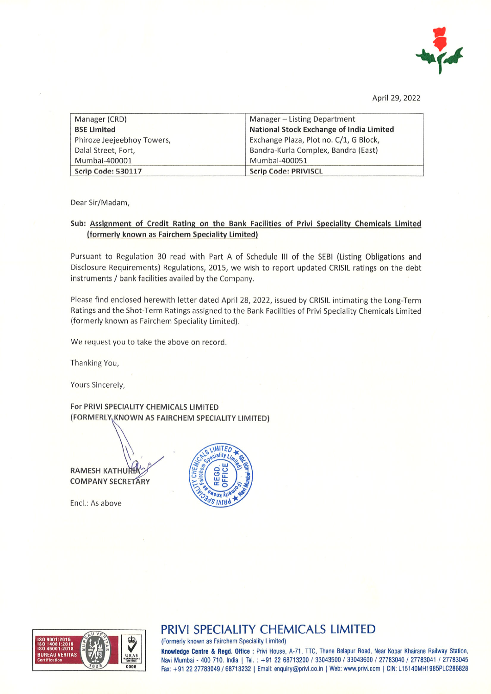

April 29, 2022

| Manager (CRD)              | Manager - Listing Department                    |
|----------------------------|-------------------------------------------------|
| <b>BSE Limited</b>         | <b>National Stock Exchange of India Limited</b> |
| Phiroze Jeejeebhoy Towers, | Exchange Plaza, Plot no. C/1, G Block,          |
| Dalal Street, Fort,        | Bandra-Kurla Complex, Bandra (East)             |
| Mumbai-400001              | Mumbai-400051                                   |
| Scrip Code: 530117         | <b>Scrip Code: PRIVISCL</b>                     |

Dear Sir/Madam,

## Sub: Assignment of Credit Rating on the Bank Facilities of Privi Speciality Chemicals Limited (formerly known as Fairchem Speciality Limited)

Pursuant to Regulation 30 read with Part A of Schedule III of the SEBI (Listing Obligations and Disclosure Requirements) Regulations, 2015, we wish to report updated CRISIL ratings on the debt instruments / bank facilities availed by the Company.

Please find enclosed herewith letter dated April 28, 2022, issued by CRISIL intimating the Long-Term Ratings and the Shot-Term Ratings assigned to the Bank Facilities of Privi Speciality Chemicals Limited (formerly known as Fairchem Speciality Limited).

We request you to take the above on record.

Thanking You,

Yours Sincerely,

For PRIVI SPECIALITY CHEMICALS LIMITED (FORMERLY, KNOWN AS FAIRCHEM SPECIALITY LIMITED)

**RAMESH KATHURE COMPANY SECRETARY** 

Encl.: As above





## PRIVI SPECIALITY CHEMICALS LIMITED

(Formerly known as Fairchem Speciality Limited)

Knowledge Centre & Regd. Office : Privi House, A-71, TTC, Thane Belapur Road, Near Kopar Khairane Railway Station, Navi Mumbai - 400 710. India | Tel. : +91 22 68713200 / 33043500 / 33043600 / 27783040 / 27783041 / 27783045 Fax: +91 22 27783049 / 68713232 | Email: enquiry@privi.co.in | Web: www.privi.com | CIN: L15140MH1985PLC286828